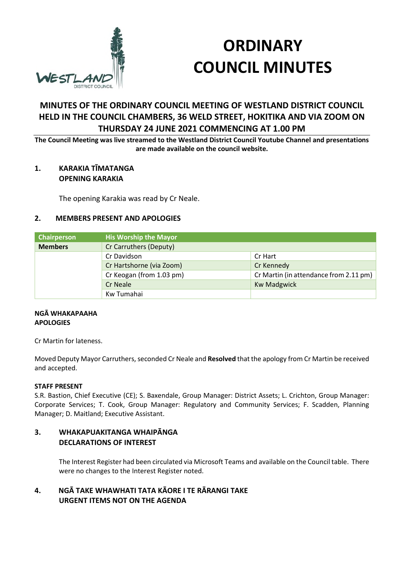

# **ORDINARY COUNCIL MINUTES**

# **MINUTES OF THE ORDINARY COUNCIL MEETING OF WESTLAND DISTRICT COUNCIL HELD IN THE COUNCIL CHAMBERS, 36 WELD STREET, HOKITIKA AND VIA ZOOM ON THURSDAY 24 JUNE 2021 COMMENCING AT 1.00 PM**

**The Council Meeting was live streamed to the Westland District Council Youtube Channel and presentations are made available on the council website.** 

#### **1. KARAKIA TĪMATANGA OPENING KARAKIA**

The opening Karakia was read by Cr Neale.

#### **2. MEMBERS PRESENT AND APOLOGIES**

| Chairperson    | <b>His Worship the Mayor</b>  |                                        |
|----------------|-------------------------------|----------------------------------------|
| <b>Members</b> | <b>Cr Carruthers (Deputy)</b> |                                        |
|                | Cr Davidson                   | Cr Hart                                |
|                | Cr Hartshorne (via Zoom)      | Cr Kennedy                             |
|                | Cr Keogan (from 1.03 pm)      | Cr Martin (in attendance from 2.11 pm) |
|                | Cr Neale                      | <b>Kw Madgwick</b>                     |
|                | Kw Tumahai                    |                                        |

#### **NGĀ WHAKAPAAHA APOLOGIES**

Cr Martin for lateness.

Moved Deputy Mayor Carruthers, seconded Cr Neale and **Resolved** that the apology from Cr Martin be received and accepted.

#### **STAFF PRESENT**

S.R. Bastion, Chief Executive (CE); S. Baxendale, Group Manager: District Assets; L. Crichton, Group Manager: Corporate Services; T. Cook, Group Manager: Regulatory and Community Services; F. Scadden, Planning Manager; D. Maitland; Executive Assistant.

# **3. WHAKAPUAKITANGA WHAIPĀNGA DECLARATIONS OF INTEREST**

The Interest Register had been circulated via Microsoft Teams and available on the Council table. There were no changes to the Interest Register noted.

# **4. NGĀ TAKE WHAWHATI TATA KĀORE I TE RĀRANGI TAKE URGENT ITEMS NOT ON THE AGENDA**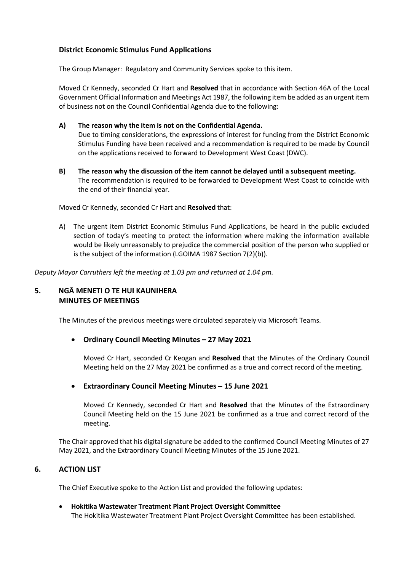### **District Economic Stimulus Fund Applications**

The Group Manager: Regulatory and Community Services spoke to this item.

Moved Cr Kennedy, seconded Cr Hart and **Resolved** that in accordance with Section 46A of the Local Government Official Information and Meetings Act 1987, the following item be added as an urgent item of business not on the Council Confidential Agenda due to the following:

#### **A) The reason why the item is not on the Confidential Agenda.**

Due to timing considerations, the expressions of interest for funding from the District Economic Stimulus Funding have been received and a recommendation is required to be made by Council on the applications received to forward to Development West Coast (DWC).

**B) The reason why the discussion of the item cannot be delayed until a subsequent meeting.**  The recommendation is required to be forwarded to Development West Coast to coincide with the end of their financial year.

Moved Cr Kennedy, seconded Cr Hart and **Resolved** that:

A) The urgent item District Economic Stimulus Fund Applications, be heard in the public excluded section of today's meeting to protect the information where making the information available would be likely unreasonably to prejudice the commercial position of the person who supplied or is the subject of the information (LGOIMA 1987 Section 7(2)(b)).

*Deputy Mayor Carruthers left the meeting at 1.03 pm and returned at 1.04 pm.* 

# **5. NGĀ MENETI O TE HUI KAUNIHERA MINUTES OF MEETINGS**

The Minutes of the previous meetings were circulated separately via Microsoft Teams.

#### **Ordinary Council Meeting Minutes – 27 May 2021**

Moved Cr Hart, seconded Cr Keogan and **Resolved** that the Minutes of the Ordinary Council Meeting held on the 27 May 2021 be confirmed as a true and correct record of the meeting.

#### **Extraordinary Council Meeting Minutes – 15 June 2021**

Moved Cr Kennedy, seconded Cr Hart and **Resolved** that the Minutes of the Extraordinary Council Meeting held on the 15 June 2021 be confirmed as a true and correct record of the meeting.

The Chair approved that his digital signature be added to the confirmed Council Meeting Minutes of 27 May 2021, and the Extraordinary Council Meeting Minutes of the 15 June 2021.

#### **6. ACTION LIST**

The Chief Executive spoke to the Action List and provided the following updates:

 **Hokitika Wastewater Treatment Plant Project Oversight Committee**  The Hokitika Wastewater Treatment Plant Project Oversight Committee has been established.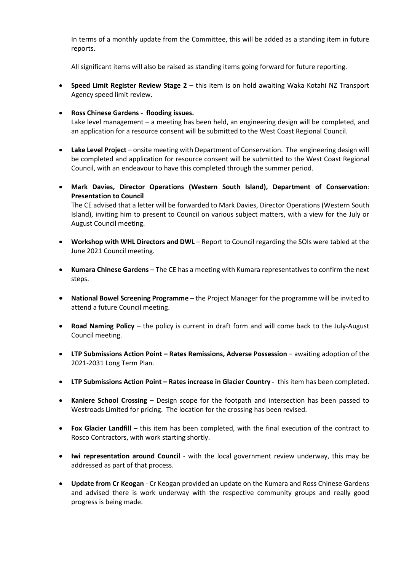In terms of a monthly update from the Committee, this will be added as a standing item in future reports.

All significant items will also be raised as standing items going forward for future reporting.

- **Speed Limit Register Review Stage 2** this item is on hold awaiting Waka Kotahi NZ Transport Agency speed limit review.
- **Ross Chinese Gardens flooding issues.**

Lake level management – a meeting has been held, an engineering design will be completed, and an application for a resource consent will be submitted to the West Coast Regional Council.

- **Lake Level Project** onsite meeting with Department of Conservation. The engineering design will be completed and application for resource consent will be submitted to the West Coast Regional Council, with an endeavour to have this completed through the summer period.
- **Mark Davies, Director Operations (Western South Island), Department of Conservation**: **Presentation to Council**

The CE advised that a letter will be forwarded to Mark Davies, Director Operations (Western South Island), inviting him to present to Council on various subject matters, with a view for the July or August Council meeting.

- **Workshop with WHL Directors and DWL** Report to Council regarding the SOIs were tabled at the June 2021 Council meeting.
- **Kumara Chinese Gardens** The CE has a meeting with Kumara representatives to confirm the next steps.
- **National Bowel Screening Programme**  the Project Manager for the programme will be invited to attend a future Council meeting.
- **Road Naming Policy** the policy is current in draft form and will come back to the July-August Council meeting.
- **LTP Submissions Action Point Rates Remissions, Adverse Possession**  awaiting adoption of the 2021-2031 Long Term Plan.
- **LTP Submissions Action Point Rates increase in Glacier Country** this item has been completed.
- **Kaniere School Crossing** Design scope for the footpath and intersection has been passed to Westroads Limited for pricing. The location for the crossing has been revised.
- **Fox Glacier Landfill** this item has been completed, with the final execution of the contract to Rosco Contractors, with work starting shortly.
- **Iwi representation around Council** with the local government review underway, this may be addressed as part of that process.
- **Update from Cr Keogan**  Cr Keogan provided an update on the Kumara and Ross Chinese Gardens and advised there is work underway with the respective community groups and really good progress is being made.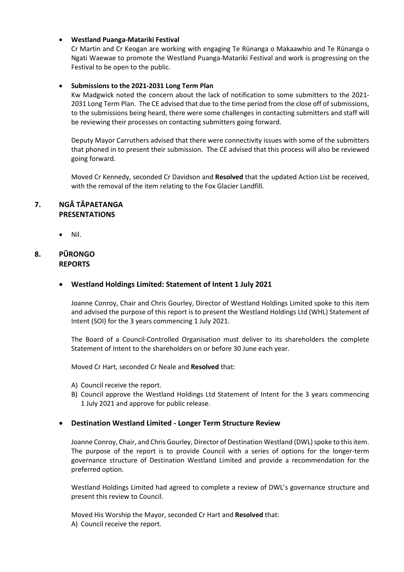#### **Westland Puanga-Matariki Festival**

Cr Martin and Cr Keogan are working with engaging Te Rūnanga o Makaawhio and Te Rūnanga o Ngati Waewae to promote the Westland Puanga-Matariki Festival and work is progressing on the Festival to be open to the public.

#### **Submissions to the 2021-2031 Long Term Plan**

Kw Madgwick noted the concern about the lack of notification to some submitters to the 2021- 2031 Long Term Plan. The CE advised that due to the time period from the close off of submissions, to the submissions being heard, there were some challenges in contacting submitters and staff will be reviewing their processes on contacting submitters going forward.

Deputy Mayor Carruthers advised that there were connectivity issues with some of the submitters that phoned in to present their submission. The CE advised that this process will also be reviewed going forward.

Moved Cr Kennedy, seconded Cr Davidson and **Resolved** that the updated Action List be received, with the removal of the item relating to the Fox Glacier Landfill.

# **7. NGĀ TĀPAETANGA PRESENTATIONS**

 $\bullet$  Nil.

# **8. PŪRONGO REPORTS**

#### **Westland Holdings Limited: Statement of Intent 1 July 2021**

Joanne Conroy, Chair and Chris Gourley, Director of Westland Holdings Limited spoke to this item and advised the purpose of this report is to present the Westland Holdings Ltd (WHL) Statement of Intent (SOI) for the 3 years commencing 1 July 2021.

The Board of a Council-Controlled Organisation must deliver to its shareholders the complete Statement of Intent to the shareholders on or before 30 June each year.

Moved Cr Hart, seconded Cr Neale and **Resolved** that:

- A) Council receive the report.
- B) Council approve the Westland Holdings Ltd Statement of Intent for the 3 years commencing 1 July 2021 and approve for public release.

#### **Destination Westland Limited - Longer Term Structure Review**

Joanne Conroy, Chair, and Chris Gourley, Director of Destination Westland (DWL) spoke to this item. The purpose of the report is to provide Council with a series of options for the longer-term governance structure of Destination Westland Limited and provide a recommendation for the preferred option.

Westland Holdings Limited had agreed to complete a review of DWL's governance structure and present this review to Council.

Moved His Worship the Mayor, seconded Cr Hart and **Resolved** that: A) Council receive the report.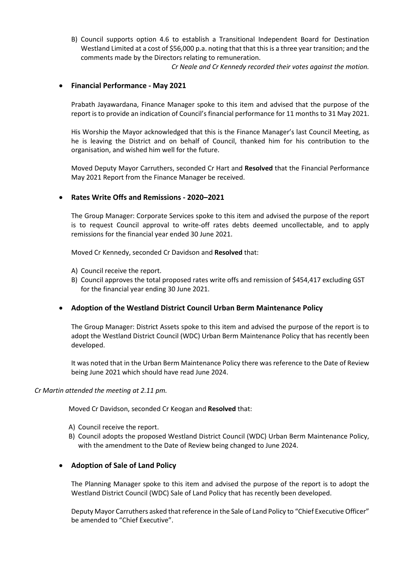B) Council supports option 4.6 to establish a Transitional Independent Board for Destination Westland Limited at a cost of \$56,000 p.a. noting that that this is a three year transition; and the comments made by the Directors relating to remuneration.

*Cr Neale and Cr Kennedy recorded their votes against the motion.* 

#### **Financial Performance - May 2021**

Prabath Jayawardana, Finance Manager spoke to this item and advised that the purpose of the report is to provide an indication of Council's financial performance for 11 months to 31 May 2021.

His Worship the Mayor acknowledged that this is the Finance Manager's last Council Meeting, as he is leaving the District and on behalf of Council, thanked him for his contribution to the organisation, and wished him well for the future.

Moved Deputy Mayor Carruthers, seconded Cr Hart and **Resolved** that the Financial Performance May 2021 Report from the Finance Manager be received.

#### **Rates Write Offs and Remissions - 2020–2021**

The Group Manager: Corporate Services spoke to this item and advised the purpose of the report is to request Council approval to write-off rates debts deemed uncollectable, and to apply remissions for the financial year ended 30 June 2021.

Moved Cr Kennedy, seconded Cr Davidson and **Resolved** that:

- A) Council receive the report.
- B) Council approves the total proposed rates write offs and remission of \$454,417 excluding GST for the financial year ending 30 June 2021.

#### **Adoption of the Westland District Council Urban Berm Maintenance Policy**

The Group Manager: District Assets spoke to this item and advised the purpose of the report is to adopt the Westland District Council (WDC) Urban Berm Maintenance Policy that has recently been developed.

It was noted that in the Urban Berm Maintenance Policy there was reference to the Date of Review being June 2021 which should have read June 2024.

#### *Cr Martin attended the meeting at 2.11 pm.*

Moved Cr Davidson, seconded Cr Keogan and **Resolved** that:

- A) Council receive the report.
- B) Council adopts the proposed Westland District Council (WDC) Urban Berm Maintenance Policy, with the amendment to the Date of Review being changed to June 2024.

#### **Adoption of Sale of Land Policy**

The Planning Manager spoke to this item and advised the purpose of the report is to adopt the Westland District Council (WDC) Sale of Land Policy that has recently been developed.

Deputy Mayor Carruthers asked that reference in the Sale of Land Policy to "Chief Executive Officer" be amended to "Chief Executive".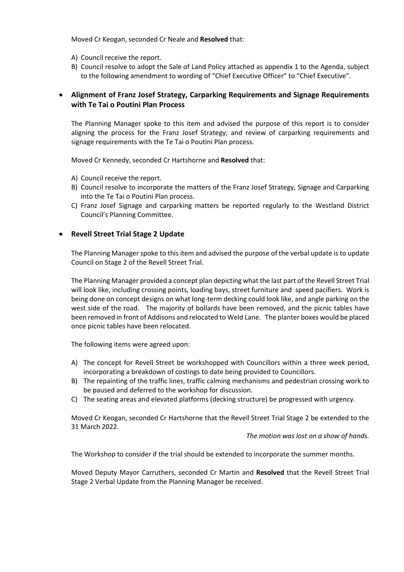Moved Cr Keogan, seconded Cr Neale and **Resolved** that:

- A) Council receive the report.
- B) Council resolve to adopt the Sale of Land Policy attached as appendix 1 to the Agenda, subject to the following amendment to wording of "Chief Executive Officer" to "Chief Executive".

# **Alignment of Franz Josef Strategy, Carparking Requirements and Signage Requirements with Te Tai o Poutini Plan Process**

The Planning Manager spoke to this item and advised the purpose of this report is to consider aligning the process for the Franz Josef Strategy; and review of carparking requirements and signage requirements with the Te Tai o Poutini Plan process.

Moved Cr Kennedy, seconded Cr Hartshorne and **Resolved** that:

- A) Council receive the report.
- B) Council resolve to incorporate the matters of the Franz Josef Strategy, Signage and Carparking into the Te Tai o Poutini Plan process.
- C) Franz Josef Signage and carparking matters be reported regularly to the Westland District Council's Planning Committee.

#### **Revell Street Trial Stage 2 Update**

The Planning Manager spoke to this item and advised the purpose of the verbal update is to update Council on Stage 2 of the Revell Street Trial.

The Planning Manager provided a concept plan depicting what the last part of the Revell Street Trial will look like, including crossing points, loading bays, street furniture and speed pacifiers. Work is being done on concept designs on what long-term decking could look like, and angle parking on the west side of the road. The majority of bollards have been removed, and the picnic tables have been removed in front of Addisons and relocated to Weld Lane. The planter boxes would be placed once picnic tables have been relocated.

The following items were agreed upon:

- A) The concept for Revell Street be workshopped with Councillors within a three week period, incorporating a breakdown of costings to date being provided to Councillors.
- B) The repainting of the traffic lines, traffic calming mechanisms and pedestrian crossing work to be paused and deferred to the workshop for discussion.
- C) The seating areas and elevated platforms (decking structure) be progressed with urgency.

Moved Cr Keogan, seconded Cr Hartshorne that the Revell Street Trial Stage 2 be extended to the 31 March 2022.

*The motion was lost on a show of hands.*

The Workshop to consider if the trial should be extended to incorporate the summer months.

Moved Deputy Mayor Carruthers, seconded Cr Martin and **Resolved** that the Revell Street Trial Stage 2 Verbal Update from the Planning Manager be received.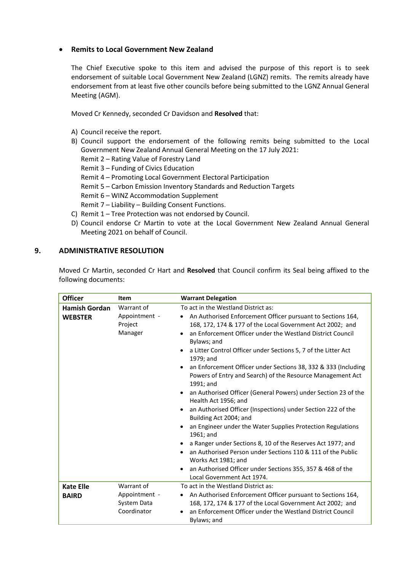#### **Remits to Local Government New Zealand**

The Chief Executive spoke to this item and advised the purpose of this report is to seek endorsement of suitable Local Government New Zealand (LGNZ) remits. The remits already have endorsement from at least five other councils before being submitted to the LGNZ Annual General Meeting (AGM).

Moved Cr Kennedy, seconded Cr Davidson and **Resolved** that:

- A) Council receive the report.
- B) Council support the endorsement of the following remits being submitted to the Local Government New Zealand Annual General Meeting on the 17 July 2021:
	- Remit 2 Rating Value of Forestry Land
	- Remit 3 Funding of Civics Education
	- Remit 4 Promoting Local Government Electoral Participation
	- Remit 5 Carbon Emission Inventory Standards and Reduction Targets
	- Remit 6 WINZ Accommodation Supplement
	- Remit 7 Liability Building Consent Functions.
- C) Remit 1 Tree Protection was not endorsed by Council.
- D) Council endorse Cr Martin to vote at the Local Government New Zealand Annual General Meeting 2021 on behalf of Council.

#### **9. ADMINISTRATIVE RESOLUTION**

Moved Cr Martin, seconded Cr Hart and **Resolved** that Council confirm its Seal being affixed to the following documents:

| <b>Officer</b>                         | <b>Item</b>                                               | <b>Warrant Delegation</b>                                                                                                                                                                                                                                                                                                                                                                                                                                                                                                                                                                                                                                                                                                                                                                                                                                                                                                                                                      |  |
|----------------------------------------|-----------------------------------------------------------|--------------------------------------------------------------------------------------------------------------------------------------------------------------------------------------------------------------------------------------------------------------------------------------------------------------------------------------------------------------------------------------------------------------------------------------------------------------------------------------------------------------------------------------------------------------------------------------------------------------------------------------------------------------------------------------------------------------------------------------------------------------------------------------------------------------------------------------------------------------------------------------------------------------------------------------------------------------------------------|--|
| <b>Hamish Gordan</b><br><b>WEBSTER</b> | Warrant of<br>Appointment -<br>Project<br>Manager         | To act in the Westland District as:<br>• An Authorised Enforcement Officer pursuant to Sections 164,<br>168, 172, 174 & 177 of the Local Government Act 2002; and<br>an Enforcement Officer under the Westland District Council<br>Bylaws; and<br>a Litter Control Officer under Sections 5, 7 of the Litter Act<br>$\bullet$<br>1979; and<br>an Enforcement Officer under Sections 38, 332 & 333 (Including<br>Powers of Entry and Search) of the Resource Management Act<br>1991; and<br>• an Authorised Officer (General Powers) under Section 23 of the<br>Health Act 1956; and<br>• an Authorised Officer (Inspections) under Section 222 of the<br>Building Act 2004; and<br>an Engineer under the Water Supplies Protection Regulations<br>1961; and<br>a Ranger under Sections 8, 10 of the Reserves Act 1977; and<br>an Authorised Person under Sections 110 & 111 of the Public<br>Works Act 1981; and<br>an Authorised Officer under Sections 355, 357 & 468 of the |  |
| <b>Kate Elle</b><br><b>BAIRD</b>       | Warrant of<br>Appointment -<br>System Data<br>Coordinator | To act in the Westland District as:<br>An Authorised Enforcement Officer pursuant to Sections 164,<br>$\bullet$<br>168, 172, 174 & 177 of the Local Government Act 2002; and<br>an Enforcement Officer under the Westland District Council<br>Bylaws; and                                                                                                                                                                                                                                                                                                                                                                                                                                                                                                                                                                                                                                                                                                                      |  |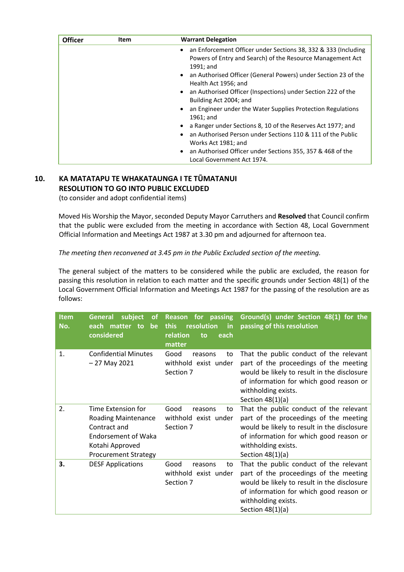| <b>Officer</b> | Item | <b>Warrant Delegation</b>                                                                                                                              |  |
|----------------|------|--------------------------------------------------------------------------------------------------------------------------------------------------------|--|
|                |      | an Enforcement Officer under Sections 38, 332 & 333 (Including<br>$\bullet$<br>Powers of Entry and Search) of the Resource Management Act<br>1991; and |  |
|                |      | an Authorised Officer (General Powers) under Section 23 of the<br>$\bullet$<br>Health Act 1956; and                                                    |  |
|                |      | an Authorised Officer (Inspections) under Section 222 of the<br>$\bullet$<br>Building Act 2004; and                                                    |  |
|                |      | an Engineer under the Water Supplies Protection Regulations<br>$\bullet$<br>1961; and                                                                  |  |
|                |      | a Ranger under Sections 8, 10 of the Reserves Act 1977; and<br>٠                                                                                       |  |
|                |      | an Authorised Person under Sections 110 & 111 of the Public<br>$\bullet$<br>Works Act 1981; and                                                        |  |
|                |      | an Authorised Officer under Sections 355, 357 & 468 of the<br>$\bullet$                                                                                |  |
|                |      | Local Government Act 1974.                                                                                                                             |  |

# **10. KA MATATAPU TE WHAKATAUNGA I TE TŪMATANUI RESOLUTION TO GO INTO PUBLIC EXCLUDED**

(to consider and adopt confidential items)

Moved His Worship the Mayor, seconded Deputy Mayor Carruthers and **Resolved** that Council confirm that the public were excluded from the meeting in accordance with Section 48, Local Government Official Information and Meetings Act 1987 at 3.30 pm and adjourned for afternoon tea.

*The meeting then reconvened at 3.45 pm in the Public Excluded section of the meeting.* 

The general subject of the matters to be considered while the public are excluded, the reason for passing this resolution in relation to each matter and the specific grounds under Section 48(1) of the Local Government Official Information and Meetings Act 1987 for the passing of the resolution are as follows:

| <b>Item</b><br>No. | subject<br>General<br><b>of</b><br>each matter<br>be<br><b>to</b><br>considered                                                                  | Reason for passing<br>resolution<br>this<br>in<br>relation<br>each<br>to<br>matter | Ground(s) under Section 48(1) for the<br>passing of this resolution                                                                                                                                                      |
|--------------------|--------------------------------------------------------------------------------------------------------------------------------------------------|------------------------------------------------------------------------------------|--------------------------------------------------------------------------------------------------------------------------------------------------------------------------------------------------------------------------|
| 1.                 | <b>Confidential Minutes</b><br>$-27$ May 2021                                                                                                    | Good<br>reasons<br>to<br>withhold exist under<br>Section 7                         | That the public conduct of the relevant<br>part of the proceedings of the meeting<br>would be likely to result in the disclosure<br>of information for which good reason or<br>withholding exists.<br>Section $48(1)(a)$ |
| 2.                 | Time Extension for<br><b>Roading Maintenance</b><br>Contract and<br><b>Endorsement of Waka</b><br>Kotahi Approved<br><b>Procurement Strategy</b> | Good<br>reasons<br>to<br>withhold exist under<br>Section 7                         | That the public conduct of the relevant<br>part of the proceedings of the meeting<br>would be likely to result in the disclosure<br>of information for which good reason or<br>withholding exists.<br>Section $48(1)(a)$ |
| 3.                 | <b>DESF Applications</b>                                                                                                                         | Good<br>reasons<br>to<br>withhold exist under<br>Section 7                         | That the public conduct of the relevant<br>part of the proceedings of the meeting<br>would be likely to result in the disclosure<br>of information for which good reason or<br>withholding exists.<br>Section $48(1)(a)$ |